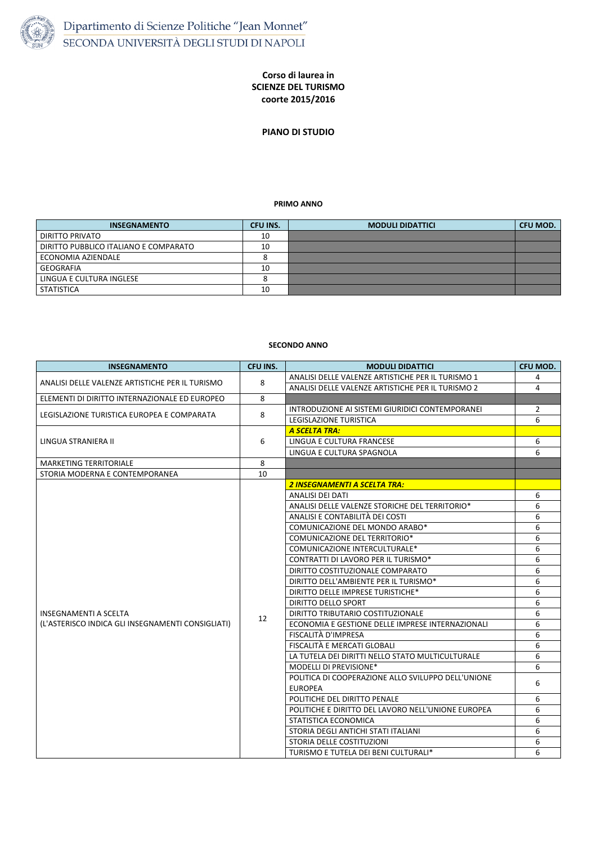

## **Corso di laurea in SCIENZE DEL TURISMO coorte 2015/2016**

**PIANO DI STUDIO**

## **PRIMO ANNO**

## **SECONDO ANNO**

| <b>INSEGNAMENTO</b>                   | <b>CFU INS.</b> | <b>MODULI DIDATTICI</b> | <b>CFU MOD.</b> |
|---------------------------------------|-----------------|-------------------------|-----------------|
| <b>DIRITTO PRIVATO</b>                | 10              |                         |                 |
| DIRITTO PUBBLICO ITALIANO E COMPARATO | 10              |                         |                 |
| ECONOMIA AZIENDALE                    |                 |                         |                 |
| GEOGRAFIA                             | 10              |                         |                 |
| LINGUA E CULTURA INGLESE              |                 |                         |                 |
| <b>STATISTICA</b>                     | 10              |                         |                 |

| <b>INSEGNAMENTO</b>                               | <b>CFU INS.</b> | <b>MODULI DIDATTICI</b>                                              | <b>CFU MOD.</b> |
|---------------------------------------------------|-----------------|----------------------------------------------------------------------|-----------------|
| ANALISI DELLE VALENZE ARTISTICHE PER IL TURISMO   | 8               | ANALISI DELLE VALENZE ARTISTICHE PER IL TURISMO 1                    | 4               |
|                                                   |                 | ANALISI DELLE VALENZE ARTISTICHE PER IL TURISMO 2                    | 4               |
| ELEMENTI DI DIRITTO INTERNAZIONALE ED EUROPEO     | 8               |                                                                      |                 |
| LEGISLAZIONE TURISTICA EUROPEA E COMPARATA        | 8               | INTRODUZIONE AI SISTEMI GIURIDICI CONTEMPORANEI                      | $\overline{2}$  |
|                                                   |                 | <b>LEGISLAZIONE TURISTICA</b>                                        | 6               |
| LINGUA STRANIERA II                               | 6               | <b>A SCELTA TRA:</b>                                                 |                 |
|                                                   |                 | LINGUA E CULTURA FRANCESE                                            | 6               |
|                                                   |                 | LINGUA E CULTURA SPAGNOLA                                            | 6               |
| <b>MARKETING TERRITORIALE</b>                     | 8               |                                                                      |                 |
| STORIA MODERNA E CONTEMPORANEA                    | 10              |                                                                      |                 |
|                                                   | 12              | <b>2 INSEGNAMENTI A SCELTA TRA:</b>                                  |                 |
|                                                   |                 | <b>ANALISI DEI DATI</b>                                              | 6               |
|                                                   |                 | ANALISI DELLE VALENZE STORICHE DEL TERRITORIO*                       | 6               |
|                                                   |                 | ANALISI E CONTABILITÀ DEI COSTI                                      | 6               |
|                                                   |                 | COMUNICAZIONE DEL MONDO ARABO*                                       | 6               |
|                                                   |                 | <b>COMUNICAZIONE DEL TERRITORIO*</b>                                 | 6               |
|                                                   |                 | <b>COMUNICAZIONE INTERCULTURALE*</b>                                 | 6               |
|                                                   |                 | CONTRATTI DI LAVORO PER IL TURISMO*                                  | 6               |
|                                                   |                 | DIRITTO COSTITUZIONALE COMPARATO                                     | 6               |
|                                                   |                 | DIRITTO DELL'AMBIENTE PER IL TURISMO*                                | 6               |
|                                                   |                 | DIRITTO DELLE IMPRESE TURISTICHE*                                    | 6               |
|                                                   |                 | <b>DIRITTO DELLO SPORT</b>                                           | 6               |
| <b>INSEGNAMENTI A SCELTA</b>                      |                 | DIRITTO TRIBUTARIO COSTITUZIONALE                                    | 6               |
| (L'ASTERISCO INDICA GLI INSEGNAMENTI CONSIGLIATI) |                 | ECONOMIA E GESTIONE DELLE IMPRESE INTERNAZIONALI                     | 6               |
|                                                   |                 | FISCALITÀ D'IMPRESA                                                  | 6               |
|                                                   |                 | FISCALITÀ E MERCATI GLOBALI                                          | 6               |
|                                                   |                 | LA TUTELA DEI DIRITTI NELLO STATO MULTICULTURALE                     | 6               |
|                                                   |                 | <b>MODELLI DI PREVISIONE*</b>                                        | 6               |
|                                                   |                 | POLITICA DI COOPERAZIONE ALLO SVILUPPO DELL'UNIONE<br><b>EUROPEA</b> | 6               |
|                                                   |                 | POLITICHE DEL DIRITTO PENALE                                         | 6               |
|                                                   |                 | POLITICHE E DIRITTO DEL LAVORO NELL'UNIONE EUROPEA                   | 6               |
|                                                   |                 | STATISTICA ECONOMICA                                                 | 6               |
|                                                   |                 | STORIA DEGLI ANTICHI STATI ITALIANI                                  | 6               |
|                                                   |                 | STORIA DELLE COSTITUZIONI                                            | 6               |
|                                                   |                 | TURISMO E TUTELA DEI BENI CULTURALI*                                 | 6               |